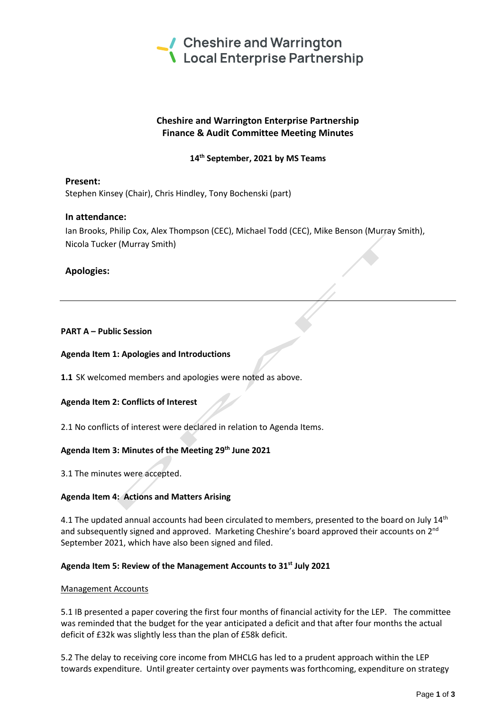

# **Cheshire and Warrington Enterprise Partnership Finance & Audit Committee Meeting Minutes**

# **14th September, 2021 by MS Teams**

**Present:** Stephen Kinsey (Chair), Chris Hindley, Tony Bochenski (part)

# **In attendance:**

Ian Brooks, Philip Cox, Alex Thompson (CEC), Michael Todd (CEC), Mike Benson (Murray Smith), Nicola Tucker (Murray Smith)

# **Apologies:**

### **PART A – Public Session**

### **Agenda Item 1: Apologies and Introductions**

**1.1** SK welcomed members and apologies were noted as above.

### **Agenda Item 2: Conflicts of Interest**

2.1 No conflicts of interest were declared in relation to Agenda Items.

### **Agenda Item 3: Minutes of the Meeting 29th June 2021**

3.1 The minutes were accepted.

# **Agenda Item 4: Actions and Matters Arising**

4.1 The updated annual accounts had been circulated to members, presented to the board on July 14<sup>th</sup> and subsequently signed and approved. Marketing Cheshire's board approved their accounts on 2<sup>nd</sup> September 2021, which have also been signed and filed.

### **Agenda Item 5: Review of the Management Accounts to 31st July 2021**

### Management Accounts

5.1 IB presented a paper covering the first four months of financial activity for the LEP. The committee was reminded that the budget for the year anticipated a deficit and that after four months the actual deficit of £32k was slightly less than the plan of £58k deficit.

5.2 The delay to receiving core income from MHCLG has led to a prudent approach within the LEP towards expenditure. Until greater certainty over payments was forthcoming, expenditure on strategy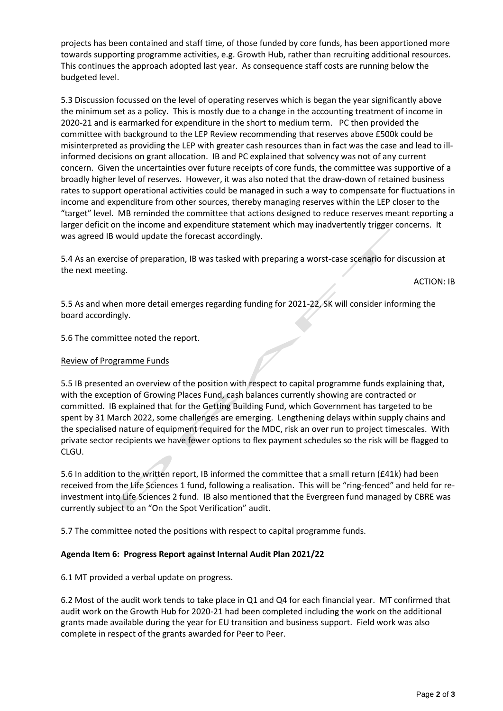projects has been contained and staff time, of those funded by core funds, has been apportioned more towards supporting programme activities, e.g. Growth Hub, rather than recruiting additional resources. This continues the approach adopted last year. As consequence staff costs are running below the budgeted level.

5.3 Discussion focussed on the level of operating reserves which is began the year significantly above the minimum set as a policy. This is mostly due to a change in the accounting treatment of income in 2020-21 and is earmarked for expenditure in the short to medium term. PC then provided the committee with background to the LEP Review recommending that reserves above £500k could be misinterpreted as providing the LEP with greater cash resources than in fact was the case and lead to illinformed decisions on grant allocation. IB and PC explained that solvency was not of any current concern. Given the uncertainties over future receipts of core funds, the committee was supportive of a broadly higher level of reserves. However, it was also noted that the draw-down of retained business rates to support operational activities could be managed in such a way to compensate for fluctuations in income and expenditure from other sources, thereby managing reserves within the LEP closer to the "target" level. MB reminded the committee that actions designed to reduce reserves meant reporting a larger deficit on the income and expenditure statement which may inadvertently trigger concerns. It was agreed IB would update the forecast accordingly.

5.4 As an exercise of preparation, IB was tasked with preparing a worst-case scenario for discussion at the next meeting.

ACTION: IB

5.5 As and when more detail emerges regarding funding for 2021-22, SK will consider informing the board accordingly.

5.6 The committee noted the report.

#### Review of Programme Funds

5.5 IB presented an overview of the position with respect to capital programme funds explaining that, with the exception of Growing Places Fund, cash balances currently showing are contracted or committed. IB explained that for the Getting Building Fund, which Government has targeted to be spent by 31 March 2022, some challenges are emerging. Lengthening delays within supply chains and the specialised nature of equipment required for the MDC, risk an over run to project timescales. With private sector recipients we have fewer options to flex payment schedules so the risk will be flagged to CLGU.

5.6 In addition to the written report, IB informed the committee that a small return (£41k) had been received from the Life Sciences 1 fund, following a realisation. This will be "ring-fenced" and held for reinvestment into Life Sciences 2 fund. IB also mentioned that the Evergreen fund managed by CBRE was currently subject to an "On the Spot Verification" audit.

5.7 The committee noted the positions with respect to capital programme funds.

### **Agenda Item 6: Progress Report against Internal Audit Plan 2021/22**

6.1 MT provided a verbal update on progress.

6.2 Most of the audit work tends to take place in Q1 and Q4 for each financial year. MT confirmed that audit work on the Growth Hub for 2020-21 had been completed including the work on the additional grants made available during the year for EU transition and business support. Field work was also complete in respect of the grants awarded for Peer to Peer.